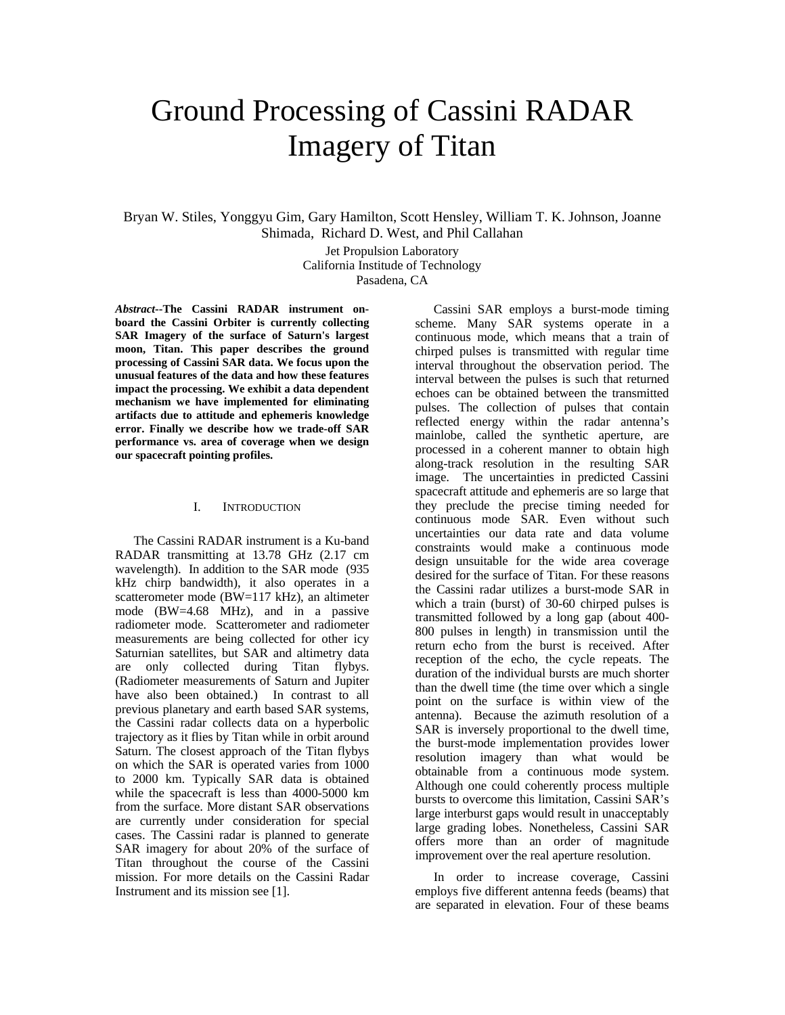# Ground Processing of Cassini RADAR Imagery of Titan

Bryan W. Stiles, Yonggyu Gim, Gary Hamilton, Scott Hensley, William T. K. Johnson, Joanne Shimada, Richard D. West, and Phil Callahan

> Jet Propulsion Laboratory California Institude of Technology Pasadena, CA

*Abstract***--The Cassini RADAR instrument onboard the Cassini Orbiter is currently collecting SAR Imagery of the surface of Saturn's largest moon, Titan. This paper describes the ground processing of Cassini SAR data. We focus upon the unusual features of the data and how these features impact the processing. We exhibit a data dependent mechanism we have implemented for eliminating artifacts due to attitude and ephemeris knowledge error. Finally we describe how we trade-off SAR performance vs. area of coverage when we design our spacecraft pointing profiles.** 

## I. INTRODUCTION

The Cassini RADAR instrument is a Ku-band RADAR transmitting at 13.78 GHz (2.17 cm wavelength). In addition to the SAR mode (935 kHz chirp bandwidth), it also operates in a scatterometer mode (BW=117 kHz), an altimeter mode (BW=4.68 MHz), and in a passive radiometer mode. Scatterometer and radiometer measurements are being collected for other icy Saturnian satellites, but SAR and altimetry data are only collected during Titan flybys. (Radiometer measurements of Saturn and Jupiter have also been obtained.) In contrast to all previous planetary and earth based SAR systems, the Cassini radar collects data on a hyperbolic trajectory as it flies by Titan while in orbit around Saturn. The closest approach of the Titan flybys on which the SAR is operated varies from 1000 to 2000 km. Typically SAR data is obtained while the spacecraft is less than 4000-5000 km from the surface. More distant SAR observations are currently under consideration for special cases. The Cassini radar is planned to generate SAR imagery for about 20% of the surface of Titan throughout the course of the Cassini mission. For more details on the Cassini Radar Instrument and its mission see [1].

Cassini SAR employs a burst-mode timing scheme. Many SAR systems operate in a continuous mode, which means that a train of chirped pulses is transmitted with regular time interval throughout the observation period. The interval between the pulses is such that returned echoes can be obtained between the transmitted pulses. The collection of pulses that contain reflected energy within the radar antenna's mainlobe, called the synthetic aperture, are processed in a coherent manner to obtain high along-track resolution in the resulting SAR image. The uncertainties in predicted Cassini spacecraft attitude and ephemeris are so large that they preclude the precise timing needed for continuous mode SAR. Even without such uncertainties our data rate and data volume constraints would make a continuous mode design unsuitable for the wide area coverage desired for the surface of Titan. For these reasons the Cassini radar utilizes a burst-mode SAR in which a train (burst) of 30-60 chirped pulses is transmitted followed by a long gap (about 400- 800 pulses in length) in transmission until the return echo from the burst is received. After reception of the echo, the cycle repeats. The duration of the individual bursts are much shorter than the dwell time (the time over which a single point on the surface is within view of the antenna). Because the azimuth resolution of a SAR is inversely proportional to the dwell time, the burst-mode implementation provides lower resolution imagery than what would be obtainable from a continuous mode system. Although one could coherently process multiple bursts to overcome this limitation, Cassini SAR's large interburst gaps would result in unacceptably large grading lobes. Nonetheless, Cassini SAR offers more than an order of magnitude improvement over the real aperture resolution.

In order to increase coverage, Cassini employs five different antenna feeds (beams) that are separated in elevation. Four of these beams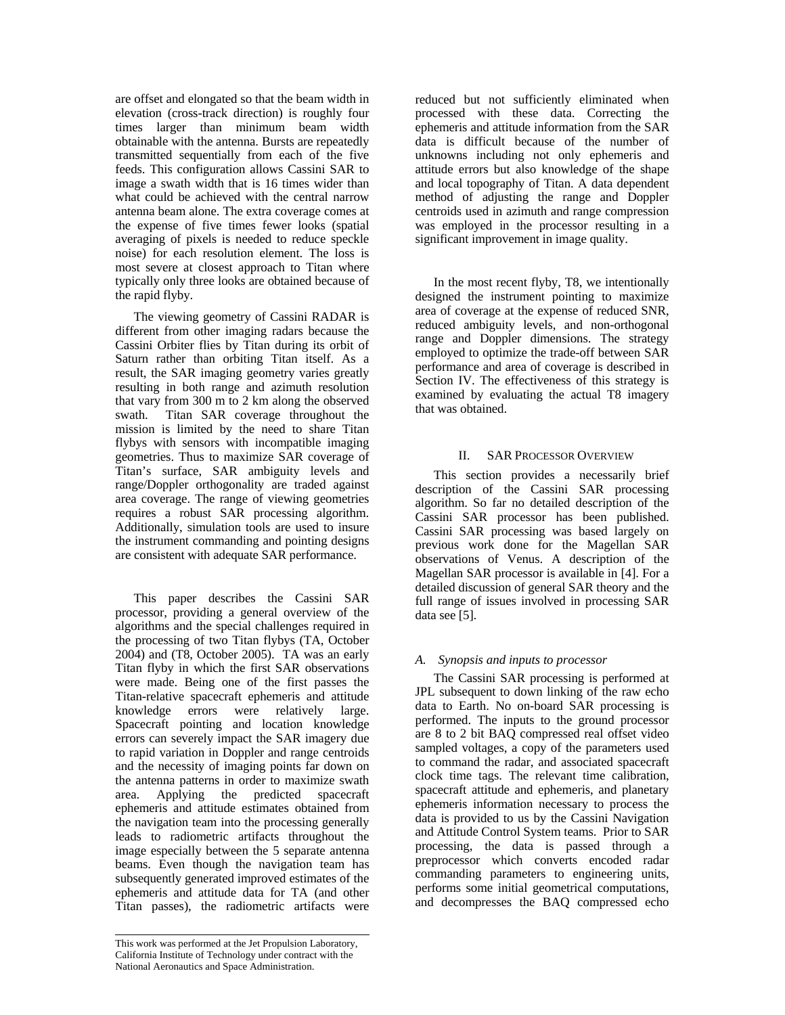are offset and elongated so that the beam width in elevation (cross-track direction) is roughly four times larger than minimum beam width obtainable with the antenna. Bursts are repeatedly transmitted sequentially from each of the five feeds. This configuration allows Cassini SAR to image a swath width that is 16 times wider than what could be achieved with the central narrow antenna beam alone. The extra coverage comes at the expense of five times fewer looks (spatial averaging of pixels is needed to reduce speckle noise) for each resolution element. The loss is most severe at closest approach to Titan where typically only three looks are obtained because of the rapid flyby.

The viewing geometry of Cassini RADAR is different from other imaging radars because the Cassini Orbiter flies by Titan during its orbit of Saturn rather than orbiting Titan itself. As a result, the SAR imaging geometry varies greatly resulting in both range and azimuth resolution that vary from 300 m to 2 km along the observed swath. Titan SAR coverage throughout the mission is limited by the need to share Titan flybys with sensors with incompatible imaging geometries. Thus to maximize SAR coverage of Titan's surface, SAR ambiguity levels and range/Doppler orthogonality are traded against area coverage. The range of viewing geometries requires a robust SAR processing algorithm. Additionally, simulation tools are used to insure the instrument commanding and pointing designs are consistent with adequate SAR performance.

This paper describes the Cassini SAR processor, providing a general overview of the algorithms and the special challenges required in the processing of two Titan flybys (TA, October 2004) and (T8, October 2005). TA was an early Titan flyby in which the first SAR observations were made. Being one of the first passes the Titan-relative spacecraft ephemeris and attitude knowledge errors were relatively large. Spacecraft pointing and location knowledge errors can severely impact the SAR imagery due to rapid variation in Doppler and range centroids and the necessity of imaging points far down on the antenna patterns in order to maximize swath area. Applying the predicted spacecraft ephemeris and attitude estimates obtained from the navigation team into the processing generally leads to radiometric artifacts throughout the image especially between the 5 separate antenna beams. Even though the navigation team has subsequently generated improved estimates of the ephemeris and attitude data for TA (and other Titan passes), the radiometric artifacts were

This work was performed at the Jet Propulsion Laboratory, California Institute of Technology under contract with the National Aeronautics and Space Administration.

reduced but not sufficiently eliminated when processed with these data. Correcting the ephemeris and attitude information from the SAR data is difficult because of the number of unknowns including not only ephemeris and attitude errors but also knowledge of the shape and local topography of Titan. A data dependent method of adjusting the range and Doppler centroids used in azimuth and range compression was employed in the processor resulting in a significant improvement in image quality.

In the most recent flyby, T8, we intentionally designed the instrument pointing to maximize area of coverage at the expense of reduced SNR, reduced ambiguity levels, and non-orthogonal range and Doppler dimensions. The strategy employed to optimize the trade-off between SAR performance and area of coverage is described in Section IV. The effectiveness of this strategy is examined by evaluating the actual T8 imagery that was obtained.

## II. SAR PROCESSOR OVERVIEW

This section provides a necessarily brief description of the Cassini SAR processing algorithm. So far no detailed description of the Cassini SAR processor has been published. Cassini SAR processing was based largely on previous work done for the Magellan SAR observations of Venus. A description of the Magellan SAR processor is available in [4]. For a detailed discussion of general SAR theory and the full range of issues involved in processing SAR data see [5].

## *A. Synopsis and inputs to processor*

The Cassini SAR processing is performed at JPL subsequent to down linking of the raw echo data to Earth. No on-board SAR processing is performed. The inputs to the ground processor are 8 to 2 bit BAQ compressed real offset video sampled voltages, a copy of the parameters used to command the radar, and associated spacecraft clock time tags. The relevant time calibration, spacecraft attitude and ephemeris, and planetary ephemeris information necessary to process the data is provided to us by the Cassini Navigation and Attitude Control System teams. Prior to SAR processing, the data is passed through a preprocessor which converts encoded radar commanding parameters to engineering units, performs some initial geometrical computations, and decompresses the BAQ compressed echo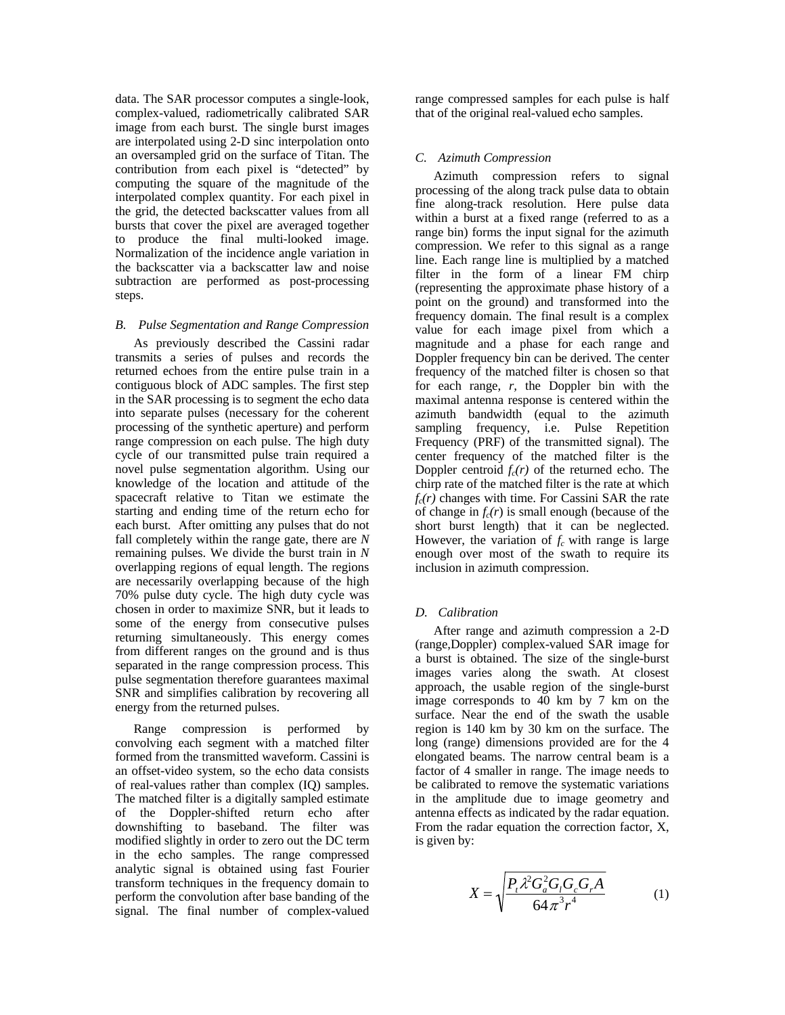data. The SAR processor computes a single-look, complex-valued, radiometrically calibrated SAR image from each burst. The single burst images are interpolated using 2-D sinc interpolation onto an oversampled grid on the surface of Titan. The contribution from each pixel is "detected" by computing the square of the magnitude of the interpolated complex quantity. For each pixel in the grid, the detected backscatter values from all bursts that cover the pixel are averaged together to produce the final multi-looked image. Normalization of the incidence angle variation in the backscatter via a backscatter law and noise subtraction are performed as post-processing steps.

## *B. Pulse Segmentation and Range Compression*

As previously described the Cassini radar transmits a series of pulses and records the returned echoes from the entire pulse train in a contiguous block of ADC samples. The first step in the SAR processing is to segment the echo data into separate pulses (necessary for the coherent processing of the synthetic aperture) and perform range compression on each pulse. The high duty cycle of our transmitted pulse train required a novel pulse segmentation algorithm. Using our knowledge of the location and attitude of the spacecraft relative to Titan we estimate the starting and ending time of the return echo for each burst. After omitting any pulses that do not fall completely within the range gate, there are *N* remaining pulses. We divide the burst train in *N* overlapping regions of equal length. The regions are necessarily overlapping because of the high 70% pulse duty cycle. The high duty cycle was chosen in order to maximize SNR, but it leads to some of the energy from consecutive pulses returning simultaneously. This energy comes from different ranges on the ground and is thus separated in the range compression process. This pulse segmentation therefore guarantees maximal SNR and simplifies calibration by recovering all energy from the returned pulses.

Range compression is performed by convolving each segment with a matched filter formed from the transmitted waveform. Cassini is an offset-video system, so the echo data consists of real-values rather than complex (IQ) samples. The matched filter is a digitally sampled estimate of the Doppler-shifted return echo after downshifting to baseband. The filter was modified slightly in order to zero out the DC term in the echo samples. The range compressed analytic signal is obtained using fast Fourier transform techniques in the frequency domain to perform the convolution after base banding of the signal. The final number of complex-valued

range compressed samples for each pulse is half that of the original real-valued echo samples.

## *C. Azimuth Compression*

Azimuth compression refers to signal processing of the along track pulse data to obtain fine along-track resolution. Here pulse data within a burst at a fixed range (referred to as a range bin) forms the input signal for the azimuth compression. We refer to this signal as a range line. Each range line is multiplied by a matched filter in the form of a linear FM chirp (representing the approximate phase history of a point on the ground) and transformed into the frequency domain. The final result is a complex value for each image pixel from which a magnitude and a phase for each range and Doppler frequency bin can be derived. The center frequency of the matched filter is chosen so that for each range, *r,* the Doppler bin with the maximal antenna response is centered within the azimuth bandwidth (equal to the azimuth sampling frequency, i.e. Pulse Repetition Frequency (PRF) of the transmitted signal). The center frequency of the matched filter is the Doppler centroid  $f_c(r)$  of the returned echo. The chirp rate of the matched filter is the rate at which  $f_c(r)$  changes with time. For Cassini SAR the rate of change in  $f_c(r)$  is small enough (because of the short burst length) that it can be neglected. However, the variation of  $f_c$  with range is large enough over most of the swath to require its inclusion in azimuth compression.

## *D. Calibration*

After range and azimuth compression a 2-D (range,Doppler) complex-valued SAR image for a burst is obtained. The size of the single-burst images varies along the swath. At closest approach, the usable region of the single-burst image corresponds to 40 km by 7 km on the surface. Near the end of the swath the usable region is 140 km by 30 km on the surface. The long (range) dimensions provided are for the 4 elongated beams. The narrow central beam is a factor of 4 smaller in range. The image needs to be calibrated to remove the systematic variations in the amplitude due to image geometry and antenna effects as indicated by the radar equation. From the radar equation the correction factor, X, is given by:

$$
X = \sqrt{\frac{P_t \lambda^2 G_a^2 G_t G_c G_r A}{64 \pi^3 r^4}}
$$
 (1)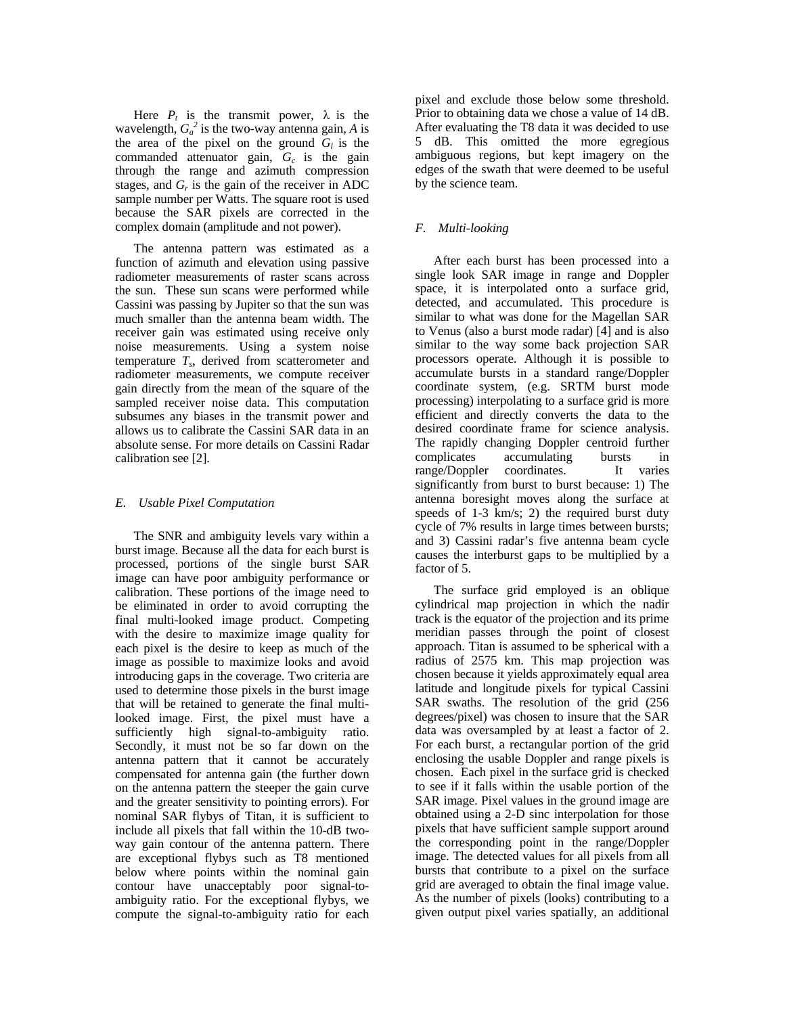Here  $P_t$  is the transmit power,  $\lambda$  is the wavelength,  $G_a^2$  is the two-way antenna gain, *A* is the area of the pixel on the ground  $G_l$  is the commanded attenuator gain,  $G_c$  is the gain through the range and azimuth compression stages, and  $G_r$  is the gain of the receiver in ADC sample number per Watts. The square root is used because the SAR pixels are corrected in the complex domain (amplitude and not power).

The antenna pattern was estimated as a function of azimuth and elevation using passive radiometer measurements of raster scans across the sun. These sun scans were performed while Cassini was passing by Jupiter so that the sun was much smaller than the antenna beam width. The receiver gain was estimated using receive only noise measurements. Using a system noise temperature  $T_s$ , derived from scatterometer and radiometer measurements, we compute receiver gain directly from the mean of the square of the sampled receiver noise data. This computation subsumes any biases in the transmit power and allows us to calibrate the Cassini SAR data in an absolute sense. For more details on Cassini Radar calibration see [2].

## *E. Usable Pixel Computation*

The SNR and ambiguity levels vary within a burst image. Because all the data for each burst is processed, portions of the single burst SAR image can have poor ambiguity performance or calibration. These portions of the image need to be eliminated in order to avoid corrupting the final multi-looked image product. Competing with the desire to maximize image quality for each pixel is the desire to keep as much of the image as possible to maximize looks and avoid introducing gaps in the coverage. Two criteria are used to determine those pixels in the burst image that will be retained to generate the final multilooked image. First, the pixel must have a sufficiently high signal-to-ambiguity ratio. Secondly, it must not be so far down on the antenna pattern that it cannot be accurately compensated for antenna gain (the further down on the antenna pattern the steeper the gain curve and the greater sensitivity to pointing errors). For nominal SAR flybys of Titan, it is sufficient to include all pixels that fall within the 10-dB twoway gain contour of the antenna pattern. There are exceptional flybys such as T8 mentioned below where points within the nominal gain contour have unacceptably poor signal-toambiguity ratio. For the exceptional flybys, we compute the signal-to-ambiguity ratio for each

pixel and exclude those below some threshold. Prior to obtaining data we chose a value of 14 dB. After evaluating the T8 data it was decided to use 5 dB. This omitted the more egregious ambiguous regions, but kept imagery on the edges of the swath that were deemed to be useful by the science team.

## *F. Multi-looking*

After each burst has been processed into a single look SAR image in range and Doppler space, it is interpolated onto a surface grid, detected, and accumulated. This procedure is similar to what was done for the Magellan SAR to Venus (also a burst mode radar) [4] and is also similar to the way some back projection SAR processors operate. Although it is possible to accumulate bursts in a standard range/Doppler coordinate system, (e.g. SRTM burst mode processing) interpolating to a surface grid is more efficient and directly converts the data to the desired coordinate frame for science analysis. The rapidly changing Doppler centroid further complicates accumulating bursts in range/Doppler coordinates. It varies significantly from burst to burst because: 1) The antenna boresight moves along the surface at speeds of 1-3 km/s; 2) the required burst duty cycle of 7% results in large times between bursts; and 3) Cassini radar's five antenna beam cycle causes the interburst gaps to be multiplied by a factor of 5.

The surface grid employed is an oblique cylindrical map projection in which the nadir track is the equator of the projection and its prime meridian passes through the point of closest approach. Titan is assumed to be spherical with a radius of 2575 km. This map projection was chosen because it yields approximately equal area latitude and longitude pixels for typical Cassini SAR swaths. The resolution of the grid (256 degrees/pixel) was chosen to insure that the SAR data was oversampled by at least a factor of 2. For each burst, a rectangular portion of the grid enclosing the usable Doppler and range pixels is chosen. Each pixel in the surface grid is checked to see if it falls within the usable portion of the SAR image. Pixel values in the ground image are obtained using a 2-D sinc interpolation for those pixels that have sufficient sample support around the corresponding point in the range/Doppler image. The detected values for all pixels from all bursts that contribute to a pixel on the surface grid are averaged to obtain the final image value. As the number of pixels (looks) contributing to a given output pixel varies spatially, an additional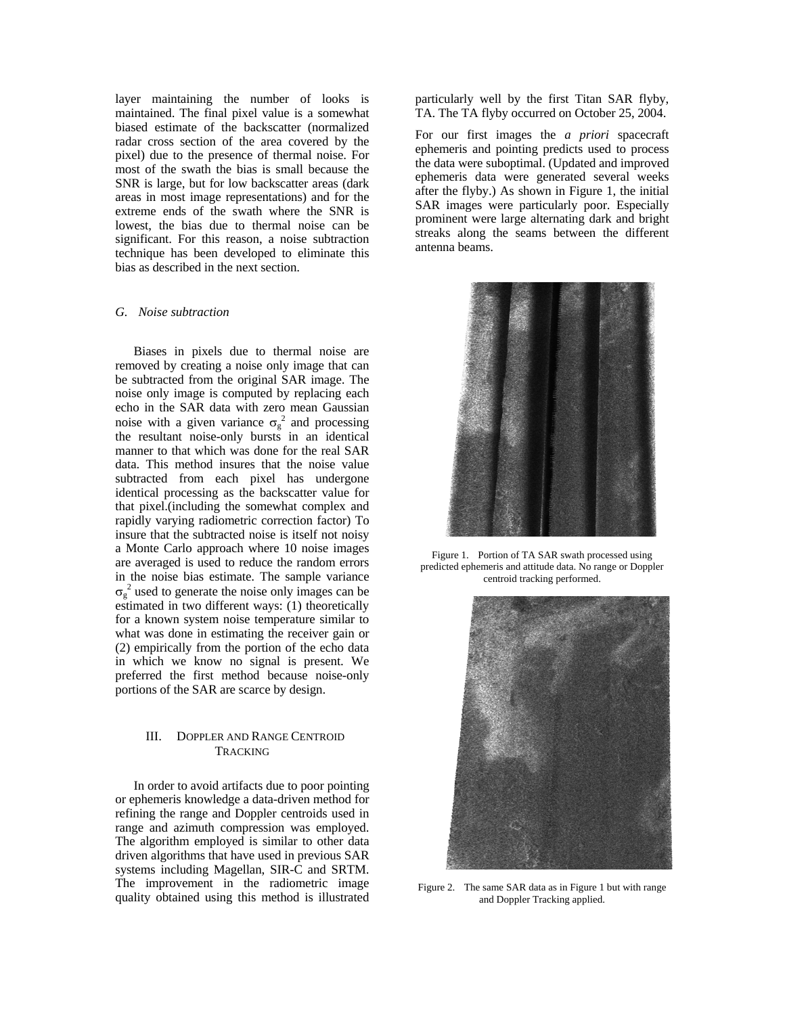layer maintaining the number of looks is maintained. The final pixel value is a somewhat biased estimate of the backscatter (normalized radar cross section of the area covered by the pixel) due to the presence of thermal noise. For most of the swath the bias is small because the SNR is large, but for low backscatter areas (dark areas in most image representations) and for the extreme ends of the swath where the SNR is lowest, the bias due to thermal noise can be significant. For this reason, a noise subtraction technique has been developed to eliminate this bias as described in the next section.

## *G. Noise subtraction*

Biases in pixels due to thermal noise are removed by creating a noise only image that can be subtracted from the original SAR image. The noise only image is computed by replacing each echo in the SAR data with zero mean Gaussian noise with a given variance  $\sigma_g^2$  and processing the resultant noise-only bursts in an identical manner to that which was done for the real SAR data. This method insures that the noise value subtracted from each pixel has undergone identical processing as the backscatter value for that pixel.(including the somewhat complex and rapidly varying radiometric correction factor) To insure that the subtracted noise is itself not noisy a Monte Carlo approach where 10 noise images are averaged is used to reduce the random errors in the noise bias estimate. The sample variance  $\sigma_g^2$  used to generate the noise only images can be estimated in two different ways: (1) theoretically for a known system noise temperature similar to what was done in estimating the receiver gain or (2) empirically from the portion of the echo data in which we know no signal is present. We preferred the first method because noise-only portions of the SAR are scarce by design.

## III. DOPPLER AND RANGE CENTROID TRACKING

In order to avoid artifacts due to poor pointing or ephemeris knowledge a data-driven method for refining the range and Doppler centroids used in range and azimuth compression was employed. The algorithm employed is similar to other data driven algorithms that have used in previous SAR systems including Magellan, SIR-C and SRTM. The improvement in the radiometric image quality obtained using this method is illustrated

particularly well by the first Titan SAR flyby, TA. The TA flyby occurred on October 25, 2004.

For our first images the *a priori* spacecraft ephemeris and pointing predicts used to process the data were suboptimal. (Updated and improved ephemeris data were generated several weeks after the flyby.) As shown in Figure 1, the initial SAR images were particularly poor. Especially prominent were large alternating dark and bright streaks along the seams between the different antenna beams.



Figure 1. Portion of TA SAR swath processed using predicted ephemeris and attitude data. No range or Doppler centroid tracking performed.



Figure 2. The same SAR data as in Figure 1 but with range and Doppler Tracking applied.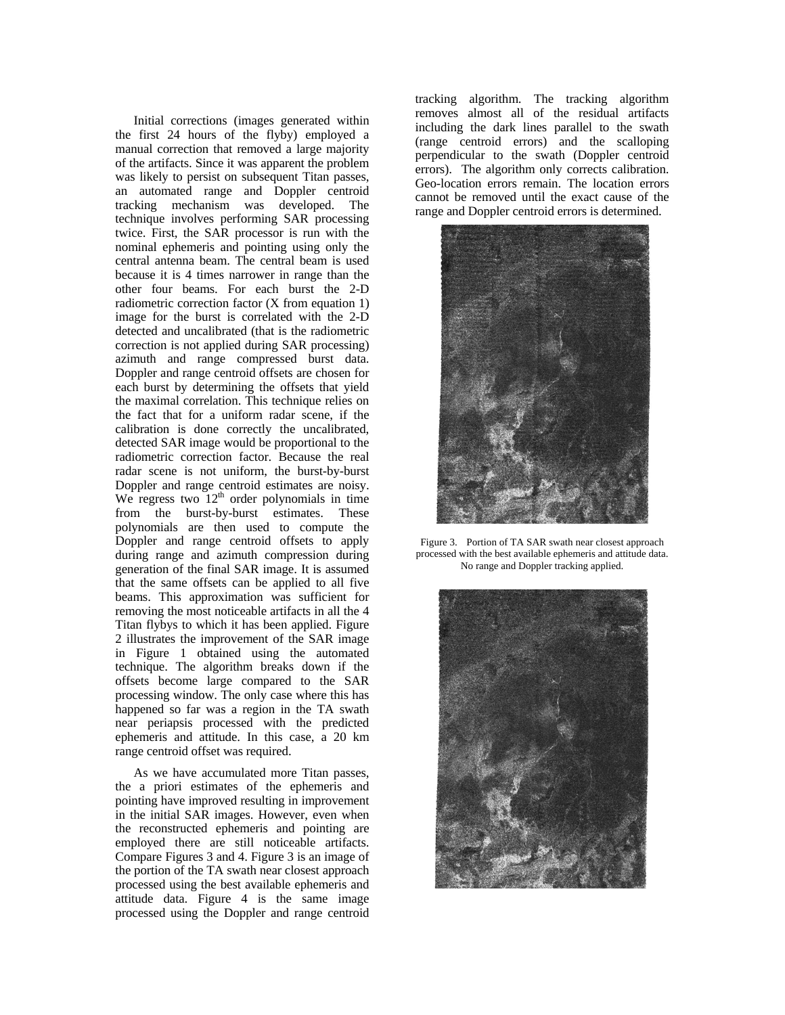Initial corrections (images generated within the first 24 hours of the flyby) employed a manual correction that removed a large majority of the artifacts. Since it was apparent the problem was likely to persist on subsequent Titan passes, an automated range and Doppler centroid tracking mechanism was developed. The technique involves performing SAR processing twice. First, the SAR processor is run with the nominal ephemeris and pointing using only the central antenna beam. The central beam is used because it is 4 times narrower in range than the other four beams. For each burst the 2-D radiometric correction factor (X from equation 1) image for the burst is correlated with the 2-D detected and uncalibrated (that is the radiometric correction is not applied during SAR processing) azimuth and range compressed burst data. Doppler and range centroid offsets are chosen for each burst by determining the offsets that yield the maximal correlation. This technique relies on the fact that for a uniform radar scene, if the calibration is done correctly the uncalibrated, detected SAR image would be proportional to the radiometric correction factor. Because the real radar scene is not uniform, the burst-by-burst Doppler and range centroid estimates are noisy. We regress two  $12<sup>th</sup>$  order polynomials in time from the burst-by-burst estimates. These polynomials are then used to compute the Doppler and range centroid offsets to apply during range and azimuth compression during generation of the final SAR image. It is assumed that the same offsets can be applied to all five beams. This approximation was sufficient for removing the most noticeable artifacts in all the 4 Titan flybys to which it has been applied. Figure 2 illustrates the improvement of the SAR image in Figure 1 obtained using the automated technique. The algorithm breaks down if the offsets become large compared to the SAR processing window. The only case where this has happened so far was a region in the TA swath near periapsis processed with the predicted ephemeris and attitude. In this case, a 20 km range centroid offset was required.

As we have accumulated more Titan passes, the a priori estimates of the ephemeris and pointing have improved resulting in improvement in the initial SAR images. However, even when the reconstructed ephemeris and pointing are employed there are still noticeable artifacts. Compare Figures 3 and 4. Figure 3 is an image of the portion of the TA swath near closest approach processed using the best available ephemeris and attitude data. Figure 4 is the same image processed using the Doppler and range centroid

tracking algorithm. The tracking algorithm removes almost all of the residual artifacts including the dark lines parallel to the swath (range centroid errors) and the scalloping perpendicular to the swath (Doppler centroid errors). The algorithm only corrects calibration. Geo-location errors remain. The location errors cannot be removed until the exact cause of the range and Doppler centroid errors is determined.



Figure 3. Portion of TA SAR swath near closest approach processed with the best available ephemeris and attitude data. No range and Doppler tracking applied.

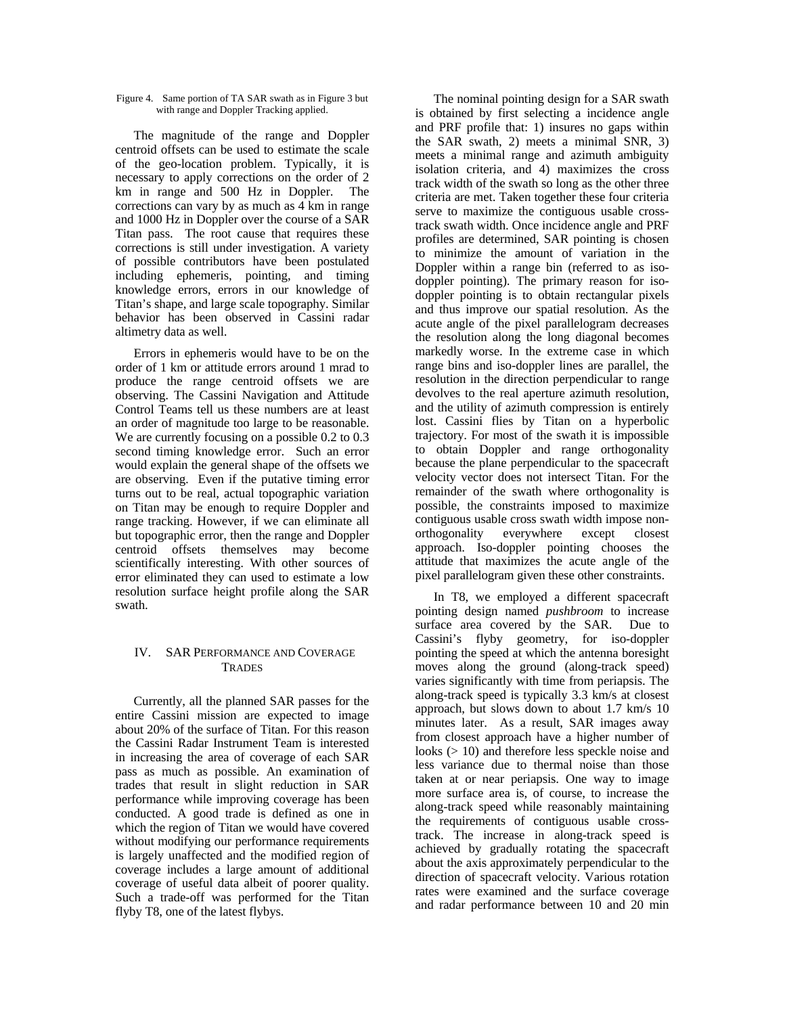#### Figure 4. Same portion of TA SAR swath as in Figure 3 but with range and Doppler Tracking applied.

The magnitude of the range and Doppler centroid offsets can be used to estimate the scale of the geo-location problem. Typically, it is necessary to apply corrections on the order of 2 km in range and 500 Hz in Doppler. The corrections can vary by as much as 4 km in range and 1000 Hz in Doppler over the course of a SAR Titan pass. The root cause that requires these corrections is still under investigation. A variety of possible contributors have been postulated including ephemeris, pointing, and timing knowledge errors, errors in our knowledge of Titan's shape, and large scale topography. Similar behavior has been observed in Cassini radar altimetry data as well.

Errors in ephemeris would have to be on the order of 1 km or attitude errors around 1 mrad to produce the range centroid offsets we are observing. The Cassini Navigation and Attitude Control Teams tell us these numbers are at least an order of magnitude too large to be reasonable. We are currently focusing on a possible 0.2 to 0.3 second timing knowledge error. Such an error would explain the general shape of the offsets we are observing. Even if the putative timing error turns out to be real, actual topographic variation on Titan may be enough to require Doppler and range tracking. However, if we can eliminate all but topographic error, then the range and Doppler centroid offsets themselves may become scientifically interesting. With other sources of error eliminated they can used to estimate a low resolution surface height profile along the SAR swath.

# IV. SAR PERFORMANCE AND COVERAGE **TRADES**

Currently, all the planned SAR passes for the entire Cassini mission are expected to image about 20% of the surface of Titan. For this reason the Cassini Radar Instrument Team is interested in increasing the area of coverage of each SAR pass as much as possible. An examination of trades that result in slight reduction in SAR performance while improving coverage has been conducted. A good trade is defined as one in which the region of Titan we would have covered without modifying our performance requirements is largely unaffected and the modified region of coverage includes a large amount of additional coverage of useful data albeit of poorer quality. Such a trade-off was performed for the Titan flyby T8, one of the latest flybys.

The nominal pointing design for a SAR swath is obtained by first selecting a incidence angle and PRF profile that: 1) insures no gaps within the SAR swath, 2) meets a minimal SNR, 3) meets a minimal range and azimuth ambiguity isolation criteria, and 4) maximizes the cross track width of the swath so long as the other three criteria are met. Taken together these four criteria serve to maximize the contiguous usable crosstrack swath width. Once incidence angle and PRF profiles are determined, SAR pointing is chosen to minimize the amount of variation in the Doppler within a range bin (referred to as isodoppler pointing). The primary reason for isodoppler pointing is to obtain rectangular pixels and thus improve our spatial resolution. As the acute angle of the pixel parallelogram decreases the resolution along the long diagonal becomes markedly worse. In the extreme case in which range bins and iso-doppler lines are parallel, the resolution in the direction perpendicular to range devolves to the real aperture azimuth resolution, and the utility of azimuth compression is entirely lost. Cassini flies by Titan on a hyperbolic trajectory. For most of the swath it is impossible to obtain Doppler and range orthogonality because the plane perpendicular to the spacecraft velocity vector does not intersect Titan. For the remainder of the swath where orthogonality is possible, the constraints imposed to maximize contiguous usable cross swath width impose nonorthogonality everywhere except closest approach. Iso-doppler pointing chooses the attitude that maximizes the acute angle of the pixel parallelogram given these other constraints.

In T8, we employed a different spacecraft pointing design named *pushbroom* to increase surface area covered by the SAR. Due to Cassini's flyby geometry, for iso-doppler pointing the speed at which the antenna boresight moves along the ground (along-track speed) varies significantly with time from periapsis. The along-track speed is typically 3.3 km/s at closest approach, but slows down to about 1.7 km/s 10 minutes later. As a result, SAR images away from closest approach have a higher number of looks (> 10) and therefore less speckle noise and less variance due to thermal noise than those taken at or near periapsis. One way to image more surface area is, of course, to increase the along-track speed while reasonably maintaining the requirements of contiguous usable crosstrack. The increase in along-track speed is achieved by gradually rotating the spacecraft about the axis approximately perpendicular to the direction of spacecraft velocity. Various rotation rates were examined and the surface coverage and radar performance between 10 and 20 min